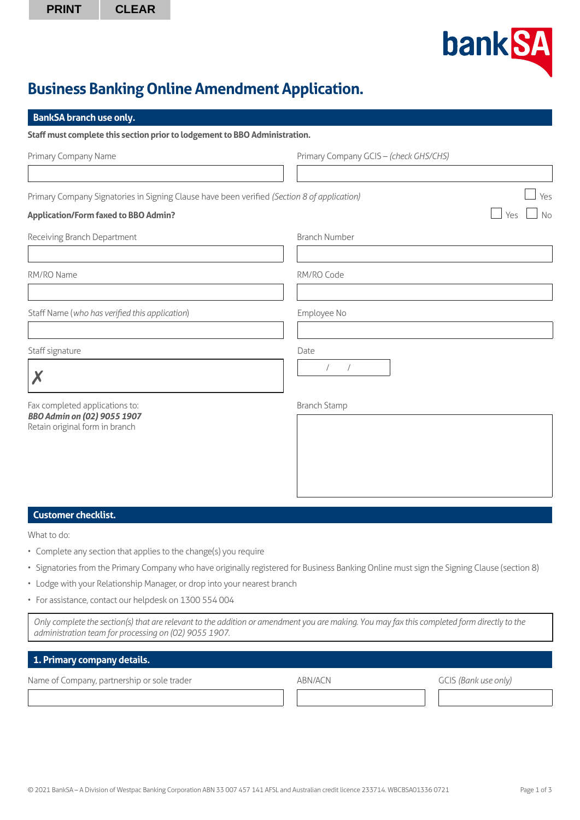

# **Business Banking Online Amendment Application.**

| <b>BankSA</b> branch use only.                                                                         |                                        |  |  |  |
|--------------------------------------------------------------------------------------------------------|----------------------------------------|--|--|--|
| Staff must complete this section prior to lodgement to BBO Administration.                             |                                        |  |  |  |
| Primary Company Name                                                                                   | Primary Company GCIS - (check GHS/CHS) |  |  |  |
|                                                                                                        |                                        |  |  |  |
| Primary Company Signatories in Signing Clause have been verified (Section 8 of application)            | Yes                                    |  |  |  |
| <b>Application/Form faxed to BBO Admin?</b>                                                            | <b>No</b><br>Yes                       |  |  |  |
| Receiving Branch Department                                                                            | <b>Branch Number</b>                   |  |  |  |
|                                                                                                        |                                        |  |  |  |
| RM/RO Name                                                                                             | RM/RO Code                             |  |  |  |
|                                                                                                        |                                        |  |  |  |
| Staff Name (who has verified this application)                                                         | Employee No                            |  |  |  |
|                                                                                                        |                                        |  |  |  |
| Staff signature                                                                                        | Date<br>$\sqrt{2}$<br>$\sqrt{2}$       |  |  |  |
| X                                                                                                      |                                        |  |  |  |
| Fax completed applications to:<br><b>BBO Admin on (02) 9055 1907</b><br>Retain original form in branch | <b>Branch Stamp</b>                    |  |  |  |
|                                                                                                        |                                        |  |  |  |
|                                                                                                        |                                        |  |  |  |
|                                                                                                        |                                        |  |  |  |
|                                                                                                        |                                        |  |  |  |
| <b>Customer checklist.</b>                                                                             |                                        |  |  |  |
|                                                                                                        |                                        |  |  |  |

What to do:

- Complete any section that applies to the change(s) you require
- Signatories from the Primary Company who have originally registered for Business Banking Online must sign the Signing Clause (section 8)
- Lodge with your Relationship Manager, or drop into your nearest branch
- For assistance, contact our helpdesk on 1300 554 004

*Only complete the section(s) that are relevant to the addition or amendment you are making. You may fax this completed form directly to the administration team for processing on (02) 9055 1907.*

# **1. Primary company details.**

Name of Company, partnership or sole trader ABN/ACN ABN/ACN GCIS *(Bank use only)*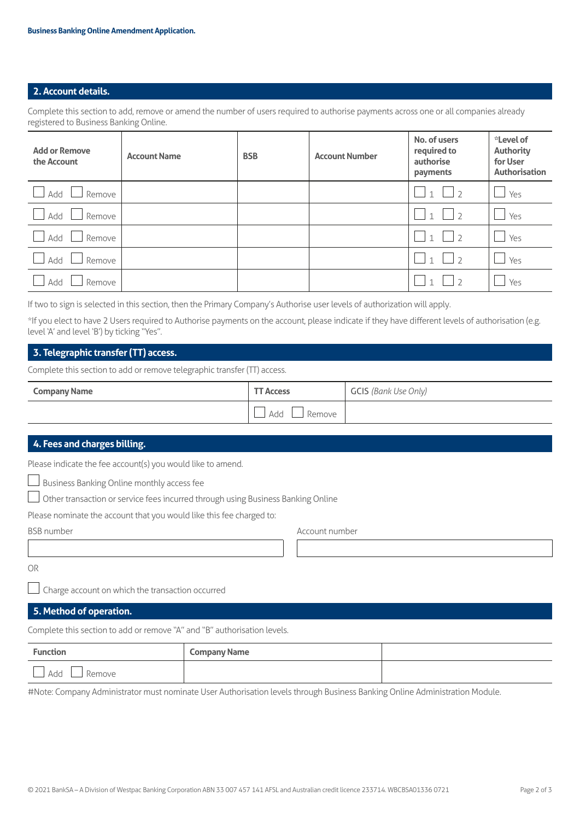## **2. Account details.**

Complete this section to add, remove or amend the number of users required to authorise payments across one or all companies already registered to Business Banking Online.

| <b>Add or Remove</b><br>the Account | <b>Account Name</b> | <b>BSB</b> | <b>Account Number</b> | No. of users<br>required to<br>authorise<br>payments | *Level of<br><b>Authority</b><br>for User<br><b>Authorisation</b> |
|-------------------------------------|---------------------|------------|-----------------------|------------------------------------------------------|-------------------------------------------------------------------|
| Add<br>Remove                       |                     |            |                       | $\sqrt{2}$                                           | Yes<br>$\sim$                                                     |
| Add<br>Remove                       |                     |            |                       | $\overline{\phantom{a}}$<br>$\vert$ 1                | Yes                                                               |
| Add<br>Remove                       |                     |            |                       | $\vert \; \; \gamma$<br>$\overline{1}$               | Yes                                                               |
| Add<br>Remove                       |                     |            |                       | $\bigcap$                                            | Yes                                                               |
| Add<br>Remove                       |                     |            |                       |                                                      | Yes                                                               |

If two to sign is selected in this section, then the Primary Company's Authorise user levels of authorization will apply.

\*If you elect to have 2 Users required to Authorise payments on the account, please indicate if they have different levels of authorisation (e.g. level 'A' and level 'B') by ticking "Yes".

### **3. Telegraphic transfer (TT) access.**

Complete this section to add or remove telegraphic transfer (TT) access.

| <b>Company Name</b> | <b>TT Access</b> | <b>GCIS</b> (Bank Use Only) |
|---------------------|------------------|-----------------------------|
|                     | Add<br>Remove    |                             |

#### **4. Fees and charges billing.**

Please indicate the fee account(s) you would like to amend.

Business Banking Online monthly access fee

Other transaction or service fees incurred through using Business Banking Online

Please nominate the account that you would like this fee charged to:

BSB number Account number

OR

Charge account on which the transaction occurred

## **5. Method of operation.**

Complete this section to add or remove "A" and "B" authorisation levels.

| <b>Function</b> | <b>Company Name</b> |  |
|-----------------|---------------------|--|
| Add<br>Remove   |                     |  |

#Note: Company Administrator must nominate User Authorisation levels through Business Banking Online Administration Module.